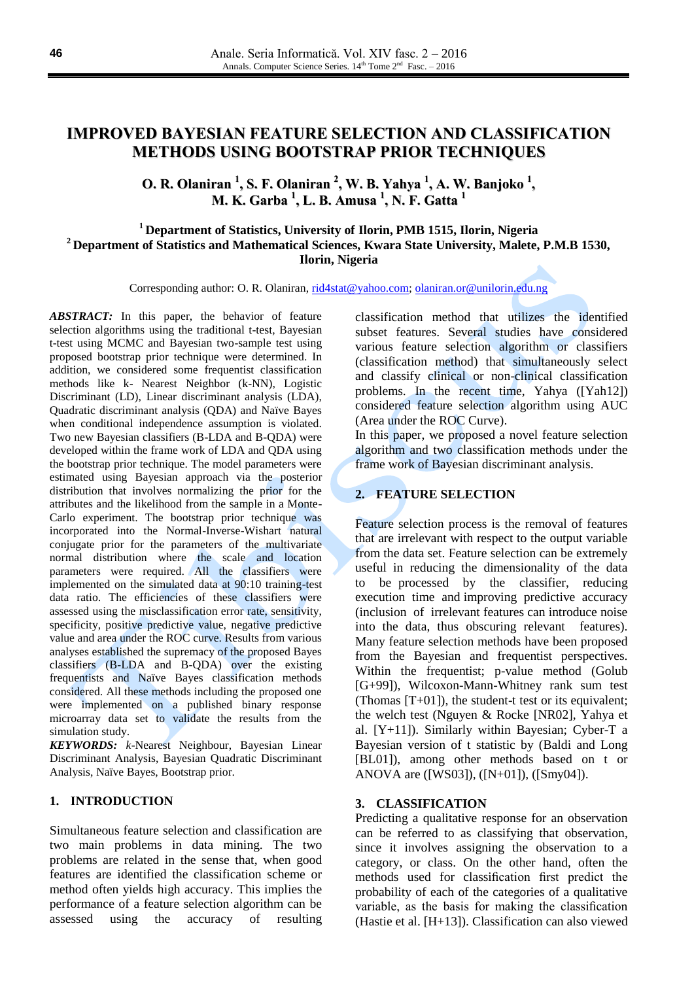# **IMPROVED BAYESIAN FEATURE SELECTION AND CLASSIFICATION METHODS USING BOOTSTRAP PRIOR TECHNIQUES**

**O. R. Olaniran 1 , S. F. Olaniran 2 , W. B. Yahya 1 , A. W. Banjoko 1 , M. K. Garba 1 , L. B. Amusa 1 , N. F. Gatta 1**

## **<sup>1</sup> Department of Statistics, University of Ilorin, PMB 1515, Ilorin, Nigeria <sup>2</sup> Department of Statistics and Mathematical Sciences, Kwara State University, Malete, P.M.B 1530, Ilorin, Nigeria**

Corresponding author: O. R. Olaniran[, rid4stat@yahoo.com;](mailto:rid4stat@yahoo.com) [olaniran.or@unilorin.edu.ng](mailto:olaniran.or@unilorin.edu.ng)

*ABSTRACT:* In this paper, the behavior of feature selection algorithms using the traditional t-test, Bayesian t-test using MCMC and Bayesian two-sample test using proposed bootstrap prior technique were determined. In addition, we considered some frequentist classification methods like k- Nearest Neighbor (k-NN), Logistic Discriminant (LD), Linear discriminant analysis (LDA), Quadratic discriminant analysis (QDA) and Naïve Bayes when conditional independence assumption is violated. Two new Bayesian classifiers (B-LDA and B-QDA) were developed within the frame work of LDA and QDA using the bootstrap prior technique. The model parameters were estimated using Bayesian approach via the posterior distribution that involves normalizing the prior for the attributes and the likelihood from the sample in a Monte-Carlo experiment. The bootstrap prior technique was incorporated into the Normal-Inverse-Wishart natural conjugate prior for the parameters of the multivariate normal distribution where the scale and location parameters were required. All the classifiers were implemented on the simulated data at 90:10 training-test data ratio. The efficiencies of these classifiers were assessed using the misclassification error rate, sensitivity, specificity, positive predictive value, negative predictive value and area under the ROC curve. Results from various analyses established the supremacy of the proposed Bayes classifiers (B-LDA and B-QDA) over the existing frequentists and Naïve Bayes classification methods considered. All these methods including the proposed one were implemented on a published binary response microarray data set to validate the results from the simulation study.

*KEYWORDS: k*-Nearest Neighbour, Bayesian Linear Discriminant Analysis, Bayesian Quadratic Discriminant Analysis, Naïve Bayes, Bootstrap prior.

#### **1. INTRODUCTION**

Simultaneous feature selection and classification are two main problems in data mining. The two problems are related in the sense that, when good features are identified the classification scheme or method often yields high accuracy. This implies the performance of a feature selection algorithm can be assessed using the accuracy of resulting

classification method that utilizes the identified subset features. Several studies have considered various feature selection algorithm or classifiers (classification method) that simultaneously select and classify clinical or non-clinical classification problems. In the recent time, Yahya ([Yah12]) considered feature selection algorithm using AUC (Area under the ROC Curve).

In this paper, we proposed a novel feature selection algorithm and two classification methods under the frame work of Bayesian discriminant analysis.

# **2. FEATURE SELECTION**

Feature selection process is the removal of features that are irrelevant with respect to the output variable from the data set. Feature selection can be extremely useful in reducing the dimensionality of the data to be processed by the classifier, reducing execution time and improving predictive accuracy (inclusion of irrelevant features can introduce noise into the data, thus obscuring relevant features). Many feature selection methods have been proposed from the Bayesian and frequentist perspectives. Within the frequentist; p-value method (Golub [G+99]), Wilcoxon-Mann-Whitney rank sum test (Thomas  $[T+01]$ ), the student-t test or its equivalent; the welch test (Nguyen & Rocke [NR02], Yahya et al. [Y+11]). Similarly within Bayesian; Cyber-T a Bayesian version of t statistic by (Baldi and Long [BL01]), among other methods based on t or ANOVA are ([WS03]), ([N+01]), ([Smy04]).

#### **3. CLASSIFICATION**

Predicting a qualitative response for an observation can be referred to as classifying that observation, since it involves assigning the observation to a category, or class. On the other hand, often the methods used for classification first predict the probability of each of the categories of a qualitative variable, as the basis for making the classification (Hastie et al. [H+13]). Classification can also viewed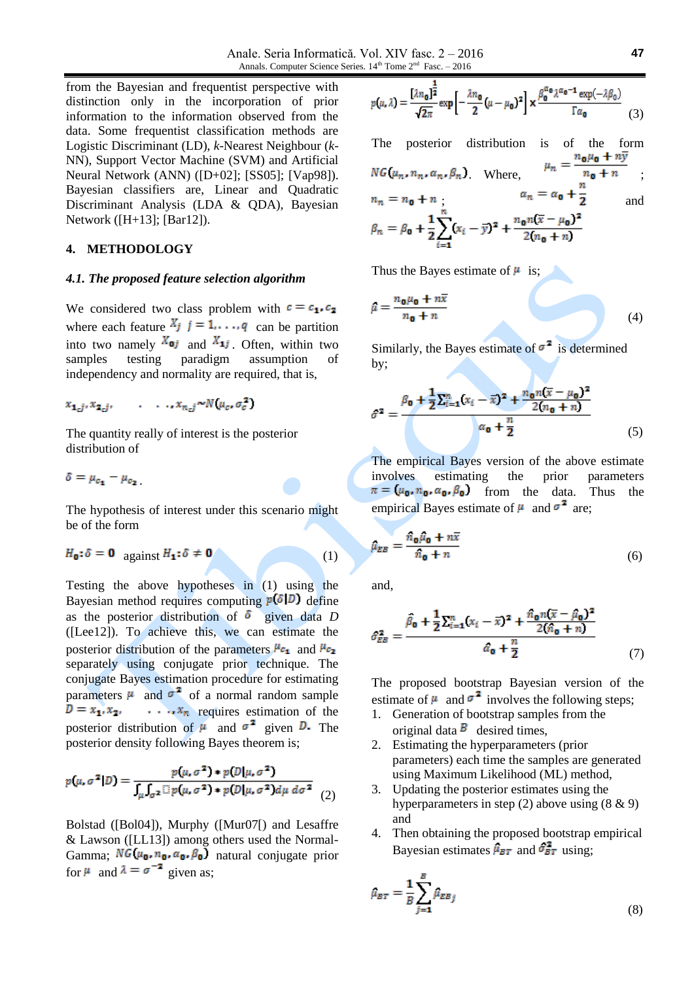from the Bayesian and frequentist perspective with distinction only in the incorporation of prior information to the information observed from the data. Some frequentist classification methods are Logistic Discriminant (LD), *k*-Nearest Neighbour (*k*-NN), Support Vector Machine (SVM) and Artificial Neural Network (ANN) ([D+02]; [SS05]; [Vap98]). Bayesian classifiers are, Linear and Quadratic Discriminant Analysis (LDA & QDA), Bayesian Network ([H+13]; [Bar12]).

# **4. METHODOLOGY**

#### *4.1. The proposed feature selection algorithm*

We considered two class problem with  $c = c_1, c_2$ where each feature  $X_j$   $j = 1, \ldots, q$  can be partition into two namely  $X_{0j}$  and  $X_{1j}$ . Often, within two samples testing paradigm assumption of independency and normality are required, that is,

$$
x_{\mathbf{1}_{c}j}, x_{\mathbf{2}_{c}j}, \qquad \ldots, x_{n_{c}j} \sim N(\mu_{c}, \sigma_{c}^{2})
$$

The quantity really of interest is the posterior distribution of

$$
\delta = \mu_{c_1} - \mu_{c_2}
$$

The hypothesis of interest under this scenario might be of the form

$$
H_{\mathbf{0}}: \delta = \mathbf{0} \quad \text{against } H_{\mathbf{1}}: \delta \neq \mathbf{0} \tag{1}
$$

Testing the above hypotheses in (1) using the Bayesian method requires computing  $p(\delta|D)$  define as the posterior distribution of  $\delta$  given data *D* ([Lee12]). To achieve this, we can estimate the posterior distribution of the parameters  $\mu_{c_1}$  and  $\mu_{c_2}$ separately using conjugate prior technique. The conjugate Bayes estimation procedure for estimating parameters  $\mu$  and  $\sigma^2$  of a normal random sample  $D = x_1, x_2, \ldots, x_n$  requires estimation of the posterior distribution of  $\mu$  and  $\sigma^2$  given D. The posterior density following Bayes theorem is;

$$
p(\mu, \sigma^2 | D) = \frac{p(\mu, \sigma^2) * p(D | \mu, \sigma^2)}{\int_{\mu} \int_{\sigma^2} \mathbb{I} p(\mu, \sigma^2) * p(D | \mu, \sigma^2) d\mu d\sigma^2}
$$
(2)

Bolstad ([Bol04]), Murphy ([Mur07[) and Lesaffre & Lawson ([LL13]) among others used the Normal-Gamma;  $NG(\mu_0, n_0, \alpha_0, \beta_0)$  natural conjugate prior for  $\mu$  and  $\lambda = \sigma^{-2}$  given as;

$$
p(\mu, \lambda) = \frac{[\lambda n_0]^{\frac{2}{2}}}{\sqrt{2\pi}} \exp\left[-\frac{\lambda n_0}{2} (\mu - \mu_0)^2\right] \times \frac{\beta_0^{\alpha_0} \lambda^{\alpha_0 - 1} \exp(-\lambda \beta_0)}{\Gamma \alpha_0} \tag{3}
$$

The posterior distribution is of the form . Where,  $n_0 + n$ ; ;  $\frac{a_n - a_0}{2}$  and

Thus the Bayes estimate of  $\mu$  is;

$$
\hat{\mu} = \frac{n_{\mathbf{0}}\mu_{\mathbf{0}} + n\bar{x}}{n_{\mathbf{0}} + n}
$$
(4)

Similarly, the Bayes estimate of  $\sigma^2$  is determined by;

$$
\hat{\sigma}^2 = \frac{\beta_0 + \frac{1}{2} \sum_{i=1}^n (x_i - \bar{x})^2 + \frac{n_0 n (\bar{x} - \mu_0)^2}{2(n_0 + n)}}{\alpha_0 + \frac{n}{2}} \tag{5}
$$

The empirical Bayes version of the above estimate involves estimating the prior parameters  $\pi = (\mu_0, n_0, \alpha_0, \beta_0)$  from the data. Thus the empirical Bayes estimate of  $\mu$  and  $\sigma^2$  are;

$$
\hat{\mu}_{EB} = \frac{\hat{n}_{\mathbf{0}} \hat{\mu}_{\mathbf{0}} + n\overline{x}}{\hat{n}_{\mathbf{0}} + n} \tag{6}
$$

and,

$$
\hat{\sigma}_{EB}^2 = \frac{\hat{\beta}_0 + \frac{1}{2} \sum_{i=1}^n (x_i - \bar{x})^2 + \frac{\hat{n}_0 n (\bar{x} - \hat{\mu}_0)^2}{2 (\hat{n}_0 + n)}}{\hat{\alpha}_0 + \frac{n}{2}} \tag{7}
$$

The proposed bootstrap Bayesian version of the estimate of  $\mu$  and  $\sigma^2$  involves the following steps;

- 1. Generation of bootstrap samples from the original data  $\overline{B}$  desired times,
- 2. Estimating the hyperparameters (prior parameters) each time the samples are generated using Maximum Likelihood (ML) method,
- 3. Updating the posterior estimates using the hyperparameters in step (2) above using (8 & 9) and
- 4. Then obtaining the proposed bootstrap empirical Bayesian estimates  $\hat{\mu}_{BT}$  and  $\hat{\sigma}_{BT}^2$  using:

$$
\hat{\mu}_{BT} = \frac{1}{B} \sum_{j=1}^{B} \hat{\mu}_{EBj} \tag{8}
$$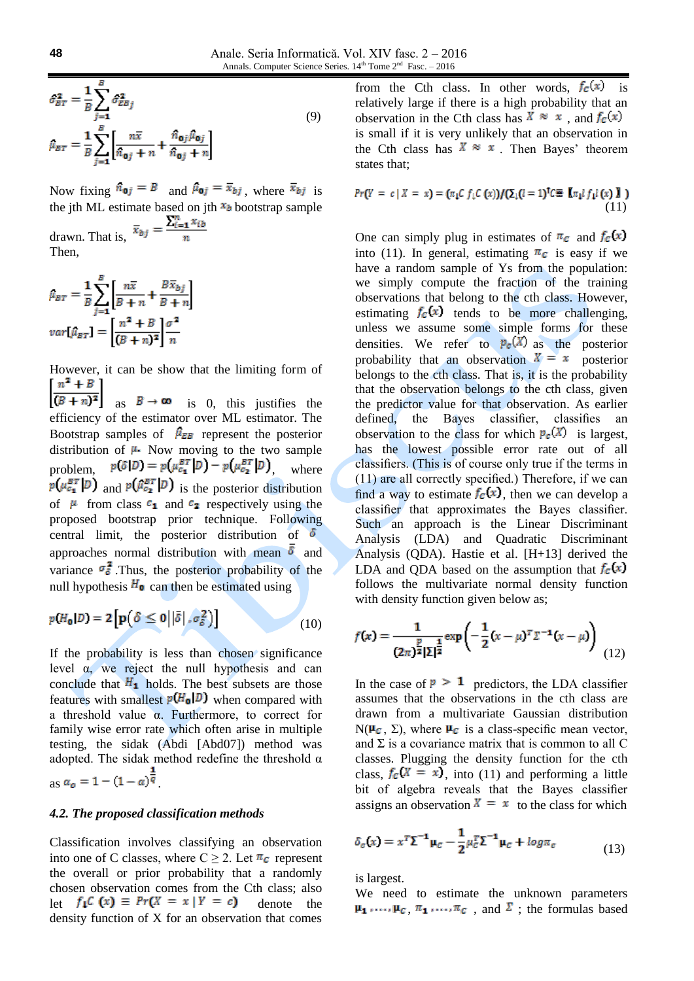$$
\hat{\sigma}_{BT}^2 = \frac{1}{B} \sum_{j=1}^B \hat{\sigma}_{EBj}^2
$$
\n
$$
\hat{\mu}_{BT} = \frac{1}{B} \sum_{j=1}^B \left[ \frac{n\bar{x}}{\hat{n}_{\mathbf{0}j} + n} + \frac{\hat{n}_{\mathbf{0}j}\hat{\mu}_{\mathbf{0}j}}{\hat{n}_{\mathbf{0}j} + n} \right]
$$
\n(9)

Now fixing  $\hat{n}_{oj} = B$  and  $\hat{\mu}_{oj} = \bar{x}_{bj}$ , where  $\bar{x}_{bj}$  is the jth ML estimate based on jth  $x_b$  bootstrap sample

drawn. That is,  $\bar{x}_{bj} = \frac{\sum_{i=1}^{n} x_{ib}}{n}$ Then,

$$
\hat{\mu}_{BT} = \frac{1}{B} \sum_{j=1}^{B} \left[ \frac{n\overline{x}}{B+n} + \frac{B\overline{x}_{bj}}{B+n} \right]
$$

$$
var[\hat{\mu}_{BT}] = \left[ \frac{n^2 + B}{(B+n)^2} \right] \frac{\sigma^2}{n}
$$

However, it can be show that the limiting form of  $n^2 + B$  $\left[\frac{B+1}{(B+n)^2}\right]$  as  $B \to \infty$  is 0, this justifies the

efficiency of the estimator over ML estimator. The Bootstrap samples of  $\hat{\mu}_{EB}$  represent the posterior distribution of  $\mu$ . Now moving to the two sample problem,  $p(\delta|D) = p(\mu_{c_1}^{BT}|D) - p(\mu_{c_2}^{BT}|D)$  where  $p(\mu_{c_1}^{BT}|D)$  and  $p(\hat{\mu}_{c_2}^{BT}|D)$  is the posterior distribution of  $\mu$  from class  $c_1$  and  $c_2$  respectively using the proposed bootstrap prior technique. Following central limit, the posterior distribution of  $\delta$ approaches normal distribution with mean  $\overline{\delta}$  and variance  $\sigma_{\delta}^2$ . Thus, the posterior probability of the null hypothesis  $H_0$  can then be estimated using

$$
p(H_{\mathbf{0}}|D) = 2\left[\mathbf{p}\left(\delta \leq 0 \middle| \left|\bar{\delta}\right|, \sigma_{\delta}^2\right)\right]
$$
\n(10)

If the probability is less than chosen significance level  $\alpha$ , we reject the null hypothesis and can conclude that  $H_1$  holds. The best subsets are those features with smallest  $p(H_0|D)$  when compared with a threshold value α. Furthermore, to correct for family wise error rate which often arise in multiple testing, the sidak (Abdi [Abd07]) method was adopted. The sidak method redefine the threshold  $\alpha$  $a_0 = 1 - (1 - \alpha)^{\frac{1}{q}}$ 

#### *4.2. The proposed classification methods*

Classification involves classifying an observation into one of C classes, where  $C \geq 2$ . Let  $\pi_c$  represent the overall or prior probability that a randomly chosen observation comes from the Cth class; also let  $f_{\downarrow}C(x) \equiv Pr(X = x | Y = c)$  denote the density function of X for an observation that comes

from the Cth class. In other words,  $f_c(x)$  is relatively large if there is a high probability that an observation in the Cth class has  $\overline{X} \approx x$ , and  $f_c(x)$ is small if it is very unlikely that an observation in the Cth class has  $X \approx x$  Then Bayes' theorem states that;

$$
Pr(Y = c | X = x) = (\pi_1 C f_1 C (x)) / (\Sigma_1 (l = 1)^{\dagger} C \mathbb{E} [\pi_1 l f_1 l (x) ] )
$$
\n(11)

One can simply plug in estimates of  $\pi_c$  and  $f_c(x)$ into (11). In general, estimating  $\pi_c$  is easy if we have a random sample of Ys from the population: we simply compute the fraction of the training observations that belong to the cth class. However, estimating  $f_c(x)$  tends to be more challenging, unless we assume some simple forms for these densities. We refer to  $p_c(\hat{X})$  as the posterior probability that an observation  $X = x$  posterior belongs to the cth class. That is, it is the probability that the observation belongs to the cth class, given the predictor value for that observation. As earlier defined, the Bayes classifier, classifies an observation to the class for which  $P_c(X)$  is largest, has the lowest possible error rate out of all classifiers. (This is of course only true if the terms in (11) are all correctly specified.) Therefore, if we can find a way to estimate  $f_c(x)$ , then we can develop a classifier that approximates the Bayes classifier. Such an approach is the Linear Discriminant Analysis (LDA) and Quadratic Discriminant Analysis (QDA). Hastie et al. [H+13] derived the LDA and QDA based on the assumption that  $f_c(x)$ follows the multivariate normal density function with density function given below as;

$$
f(x) = \frac{1}{(2\pi)^{\frac{p}{2}} |\Sigma|^{\frac{1}{2}}} \exp\left(-\frac{1}{2}(x-\mu)^{T} \Sigma^{-1}(x-\mu)\right)
$$
(12)

In the case of  $p > 1$  predictors, the LDA classifier assumes that the observations in the cth class are drawn from a multivariate Gaussian distribution N( $\mu_c$ ,  $\Sigma$ ), where  $\mu_c$  is a class-specific mean vector, and  $\Sigma$  is a covariance matrix that is common to all C classes. Plugging the density function for the cth class,  $f_c(X = x)$ , into (11) and performing a little bit of algebra reveals that the Bayes classifier assigns an observation  $X = x$  to the class for which

$$
\delta_c(x) = x^T \Sigma^{-1} \mu_c - \frac{1}{2} \mu_c^T \Sigma^{-1} \mu_c + \log \pi_c \tag{13}
$$

is largest.

We need to estimate the unknown parameters  $\mu_1, \ldots, \mu_c, \pi_1, \ldots, \pi_c$ , and  $\Sigma$ ; the formulas based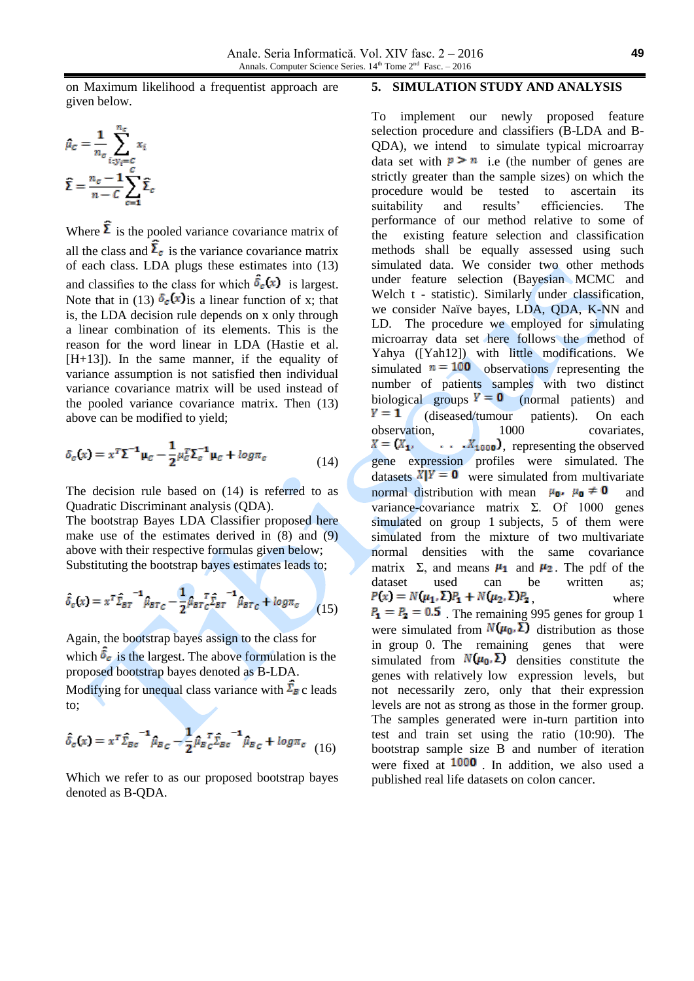on Maximum likelihood a frequentist approach are given below.

$$
\hat{\mu}_c = \frac{1}{n_c} \sum_{i:y_i=c}^{n_c} x_i
$$

$$
\hat{\Sigma} = \frac{n_c - 1}{n - C} \sum_{c=1}^{C} \hat{\Sigma}_c
$$

Where  $\hat{\Sigma}$  is the pooled variance covariance matrix of all the class and  $\bar{\Sigma}_c$  is the variance covariance matrix of each class. LDA plugs these estimates into (13) and classifies to the class for which  $\delta_c(x)$  is largest. Note that in (13)  $\delta_c(x)$  is a linear function of x; that is, the LDA decision rule depends on x only through a linear combination of its elements. This is the reason for the word linear in LDA (Hastie et al. [H+13]). In the same manner, if the equality of variance assumption is not satisfied then individual variance covariance matrix will be used instead of the pooled variance covariance matrix. Then (13) above can be modified to yield;

$$
\delta_c(x) = x^T \Sigma^{-1} \mu_c - \frac{1}{2} \mu_c^T \Sigma_c^{-1} \mu_c + \log \pi_c \tag{14}
$$

The decision rule based on (14) is referred to as Quadratic Discriminant analysis (QDA).

The bootstrap Bayes LDA Classifier proposed here make use of the estimates derived in (8) and (9) above with their respective formulas given below; Substituting the bootstrap bayes estimates leads to;

$$
\hat{\delta}_c(x) = x^T \hat{\Sigma}_{BT}^{-1} \hat{\mu}_{BT_C} - \frac{1}{2} \hat{\mu}_{BT_C} \hat{\Sigma}_{BT}^{-1} \hat{\mu}_{BT_C} + \log \pi_c \qquad (15)
$$

Again, the bootstrap bayes assign to the class for which  $\delta_c$  is the largest. The above formulation is the proposed bootstrap bayes denoted as B-LDA. Modifying for unequal class variance with  $\bar{\Sigma}_B$  c leads

to;

$$
\hat{\delta}_c(x) = x^T \hat{\Sigma}_{Bc}^{-1} \hat{\mu}_{Bc} - \frac{1}{2} \hat{\mu}_{Bc}^{-1} \hat{\Sigma}_{Bc}^{-1} \hat{\mu}_{Bc} + \log \pi_c \quad (16)
$$

Which we refer to as our proposed bootstrap bayes denoted as B-QDA.

#### **5. SIMULATION STUDY AND ANALYSIS**

To implement our newly proposed feature selection procedure and classifiers (B-LDA and B-QDA), we intend to simulate typical microarray data set with  $p > n$  i.e (the number of genes are strictly greater than the sample sizes) on which the procedure would be tested to ascertain its suitability and results' efficiencies. The performance of our method relative to some of the existing feature selection and classification methods shall be equally assessed using such simulated data. We consider two other methods under feature selection (Bayesian MCMC and Welch t - statistic). Similarly under classification, we consider Naïve bayes, LDA, QDA, K-NN and LD. The procedure we employed for simulating microarray data set here follows the method of Yahya ([Yah12]) with little modifications. We simulated  $n = 100$  observations representing the number of patients samples with two distinct biological groups  $Y = 0$  (normal patients) and  $Y = 1$  (diseased/tumour patients). On each (diseased/tumour patients). On each<br>on. 1000 covariates. observation, 1000 covariates,  $X = (X_1, \cdot)$  $\ldots$   $\bar{X}_{1000}$ , representing the observed gene expression profiles were simulated. The datasets  $X|Y = 0$  were simulated from multivariate normal distribution with mean  $\mu_0$ ,  $\mu_0 \neq 0$  and variance-covariance matrix  $\Sigma$ . Of 1000 genes simulated on group 1 subjects, 5 of them were simulated from the mixture of two multivariate normal densities with the same covariance matrix  $\Sigma$ , and means  $\mu_1$  and  $\mu_2$ . The pdf of the dataset used can be written as:  $P(x) = N(\mu_1, \Sigma)P_1 + N(\mu_2, \Sigma)P_2$  where  $P_1 = P_2 = 0.5$ . The remaining 995 genes for group 1 were simulated from  $N(\mu_0, \Sigma)$  distribution as those in group 0. The remaining genes that were simulated from  $N(\mu_0, \Sigma)$  densities constitute the genes with relatively low expression levels, but not necessarily zero, only that their expression levels are not as strong as those in the former group. The samples generated were in-turn partition into test and train set using the ratio (10:90). The bootstrap sample size B and number of iteration were fixed at  $1000$  In addition, we also used a published real life datasets on colon cancer.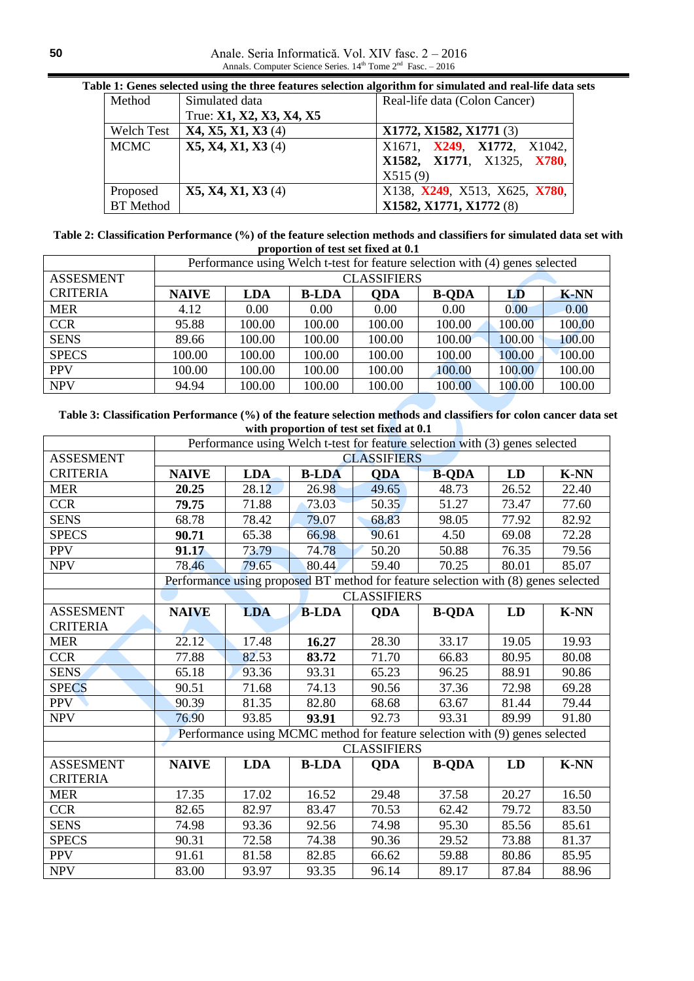Anale. Seria Informatică. Vol. XIV fasc. 2 – 2016 Annals. Computer Science Series.  $14<sup>th</sup>$  Tome  $2<sup>nd</sup>$  Fasc.  $-2016$ 

| Method            | Simulated data           | Real-life data (Colon Cancer) |
|-------------------|--------------------------|-------------------------------|
|                   | True: X1, X2, X3, X4, X5 |                               |
| <b>Welch Test</b> | X4, X5, X1, X3(4)        | X1772, X1582, X1771 (3)       |
| <b>MCMC</b>       | X5, X4, X1, X3 (4)       | X1671, X249, X1772, X1042,    |
|                   |                          | X1582, X1771, X1325, X780,    |
|                   |                          | X515(9)                       |
| Proposed          | X5, X4, X1, X3 (4)       | X138, X249, X513, X625, X780, |
| <b>BT</b> Method  |                          | X1582, X1771, X1772 (8)       |

**Table 1: Genes selected using the three features selection algorithm for simulated and real-life data sets**

**Table 2: Classification Performance (%) of the feature selection methods and classifiers for simulated data set with proportion of test set fixed at 0.1**

|                  | Performance using Welch t-test for feature selection with (4) genes selected |            |              |            |              |        |             |
|------------------|------------------------------------------------------------------------------|------------|--------------|------------|--------------|--------|-------------|
| <b>ASSESMENT</b> | <b>CLASSIFIERS</b>                                                           |            |              |            |              |        |             |
| <b>CRITERIA</b>  | <b>NAIVE</b>                                                                 | <b>LDA</b> | <b>B-LDA</b> | <b>ODA</b> | <b>B-ODA</b> | LD     | <b>K-NN</b> |
| <b>MER</b>       | 4.12                                                                         | 0.00       | 0.00         | 0.00       | 0.00         | 0.00   | 0.00        |
| <b>CCR</b>       | 95.88                                                                        | 100.00     | 100.00       | 100.00     | 100.00       | 100.00 | 100.00      |
| <b>SENS</b>      | 89.66                                                                        | 100.00     | 100.00       | 100.00     | 100.00       | 100.00 | 100.00      |
| <b>SPECS</b>     | 100.00                                                                       | 100.00     | 100.00       | 100.00     | 100.00       | 100.00 | 100.00      |
| <b>PPV</b>       | 100.00                                                                       | 100.00     | 100.00       | 100.00     | 100.00       | 100.00 | 100.00      |
| <b>NPV</b>       | 94.94                                                                        | 100.00     | 100.00       | 100.00     | 100.00       | 100.00 | 100.00      |

**Table 3: Classification Performance (%) of the feature selection methods and classifiers for colon cancer data set with proportion of test set fixed at 0.1**

|                  | Performance using Welch t-test for feature selection with (3) genes selected       |            |              |            |              |       |             |  |
|------------------|------------------------------------------------------------------------------------|------------|--------------|------------|--------------|-------|-------------|--|
| <b>ASSESMENT</b> | <b>CLASSIFIERS</b>                                                                 |            |              |            |              |       |             |  |
| <b>CRITERIA</b>  | <b>NAIVE</b>                                                                       | <b>LDA</b> | <b>B-LDA</b> | <b>ODA</b> | <b>B-QDA</b> | LD    | <b>K-NN</b> |  |
| <b>MER</b>       | 20.25                                                                              | 28.12      | 26.98        | 49.65      | 48.73        | 26.52 | 22.40       |  |
| <b>CCR</b>       | 79.75                                                                              | 71.88      | 73.03        | 50.35      | 51.27        | 73.47 | 77.60       |  |
| <b>SENS</b>      | 68.78                                                                              | 78.42      | 79.07        | 68.83      | 98.05        | 77.92 | 82.92       |  |
| <b>SPECS</b>     | 90.71                                                                              | 65.38      | 66.98        | 90.61      | 4.50         | 69.08 | 72.28       |  |
| <b>PPV</b>       | 91.17                                                                              | 73.79      | 74.78        | 50.20      | 50.88        | 76.35 | 79.56       |  |
| <b>NPV</b>       | 78.46                                                                              | 79.65      | 80.44        | 59.40      | 70.25        | 80.01 | 85.07       |  |
|                  | Performance using proposed BT method for feature selection with (8) genes selected |            |              |            |              |       |             |  |
|                  | <b>CLASSIFIERS</b>                                                                 |            |              |            |              |       |             |  |
| <b>ASSESMENT</b> | <b>NAIVE</b>                                                                       | <b>LDA</b> | <b>B-LDA</b> | <b>QDA</b> | <b>B-QDA</b> | LD    | <b>K-NN</b> |  |
| <b>CRITERIA</b>  |                                                                                    |            |              |            |              |       |             |  |
| <b>MER</b>       | 22.12                                                                              | 17.48      | 16.27        | 28.30      | 33.17        | 19.05 | 19.93       |  |
| <b>CCR</b>       | 77.88                                                                              | 82.53      | 83.72        | 71.70      | 66.83        | 80.95 | 80.08       |  |
| <b>SENS</b>      | 65.18                                                                              | 93.36      | 93.31        | 65.23      | 96.25        | 88.91 | 90.86       |  |
| <b>SPECS</b>     | 90.51                                                                              | 71.68      | 74.13        | 90.56      | 37.36        | 72.98 | 69.28       |  |
| <b>PPV</b>       | 90.39                                                                              | 81.35      | 82.80        | 68.68      | 63.67        | 81.44 | 79.44       |  |
| <b>NPV</b>       | 76.90                                                                              | 93.85      | 93.91        | 92.73      | 93.31        | 89.99 | 91.80       |  |
|                  | Performance using MCMC method for feature selection with (9) genes selected        |            |              |            |              |       |             |  |
|                  | <b>CLASSIFIERS</b>                                                                 |            |              |            |              |       |             |  |
| <b>ASSESMENT</b> | <b>NAIVE</b>                                                                       | <b>LDA</b> | <b>B-LDA</b> | <b>ODA</b> | <b>B-ODA</b> | LD    | $K-NN$      |  |
| <b>CRITERIA</b>  |                                                                                    |            |              |            |              |       |             |  |
| <b>MER</b>       | 17.35                                                                              | 17.02      | 16.52        | 29.48      | 37.58        | 20.27 | 16.50       |  |
| <b>CCR</b>       | 82.65                                                                              | 82.97      | 83.47        | 70.53      | 62.42        | 79.72 | 83.50       |  |
| <b>SENS</b>      | 74.98                                                                              | 93.36      | 92.56        | 74.98      | 95.30        | 85.56 | 85.61       |  |
| <b>SPECS</b>     | 90.31                                                                              | 72.58      | 74.38        | 90.36      | 29.52        | 73.88 | 81.37       |  |
| <b>PPV</b>       | 91.61                                                                              | 81.58      | 82.85        | 66.62      | 59.88        | 80.86 | 85.95       |  |
| <b>NPV</b>       | 83.00                                                                              | 93.97      | 93.35        | 96.14      | 89.17        | 87.84 | 88.96       |  |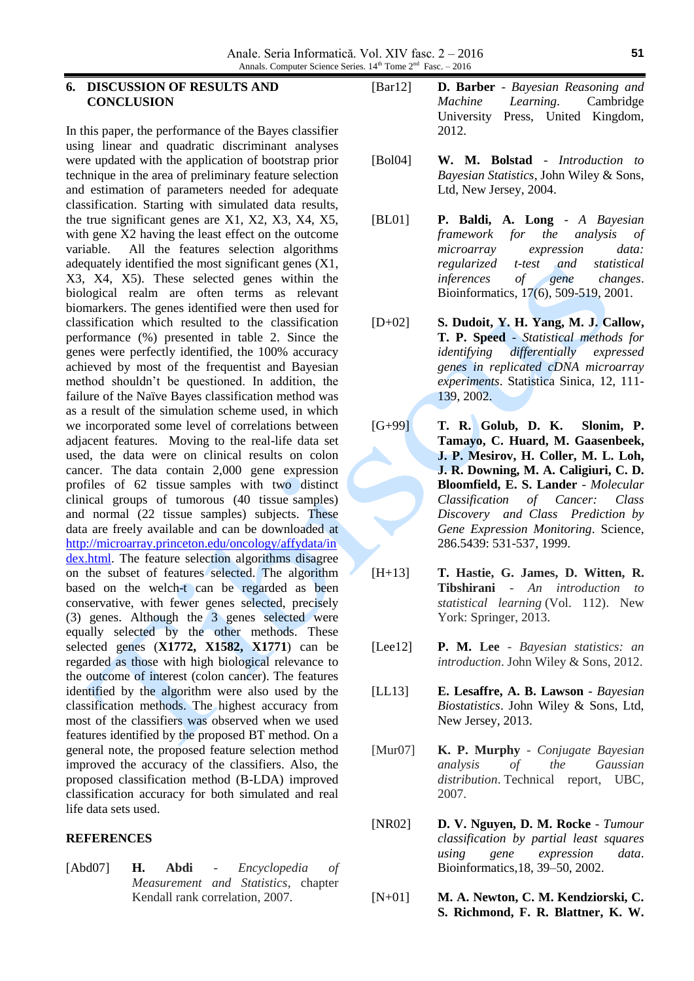## **6. DISCUSSION OF RESULTS AND CONCLUSION**

In this paper, the performance of the Bayes classifier using linear and quadratic discriminant analyses were updated with the application of bootstrap prior technique in the area of preliminary feature selection and estimation of parameters needed for adequate classification. Starting with simulated data results, the true significant genes are X1, X2, X3, X4, X5, with gene X2 having the least effect on the outcome variable. All the features selection algorithms adequately identified the most significant genes (X1, X3, X4, X5). These selected genes within the biological realm are often terms as relevant biomarkers. The genes identified were then used for classification which resulted to the classification performance (%) presented in table 2. Since the genes were perfectly identified, the 100% accuracy achieved by most of the frequentist and Bayesian method shouldn't be questioned. In addition, the failure of the Naïve Bayes classification method was as a result of the simulation scheme used, in which we incorporated some level of correlations between adjacent features. Moving to the real-life data set used, the data were on clinical results on colon cancer. The data contain 2,000 gene expression profiles of 62 tissue samples with two distinct clinical groups of tumorous (40 tissue samples) and normal (22 tissue samples) subjects. These data are freely available and can be downloaded at [http://microarray.princeton.edu/oncology/affydata/in](http://microarray.princeton.edu/oncology/affydata/index.html) [dex.html.](http://microarray.princeton.edu/oncology/affydata/index.html) The feature selection algorithms disagree on the subset of features selected. The algorithm based on the welch-t can be regarded as been conservative, with fewer genes selected, precisely (3) genes. Although the 3 genes selected were equally selected by the other methods. These selected genes (**X1772, X1582, X1771**) can be regarded as those with high biological relevance to the outcome of interest (colon cancer). The features identified by the algorithm were also used by the classification methods. The highest accuracy from most of the classifiers was observed when we used features identified by the proposed BT method. On a general note, the proposed feature selection method improved the accuracy of the classifiers. Also, the proposed classification method (B-LDA) improved classification accuracy for both simulated and real life data sets used.

## **REFERENCES**

[Abd07] **H. Abdi** - *Encyclopedia of Measurement and Statistics*, chapter Kendall rank correlation, 2007.

- [Bar12] **D. Barber** *Bayesian Reasoning and Machine Learning*. Cambridge University Press, United Kingdom, 2012.
- [Bol04] **W. M. Bolstad** *Introduction to Bayesian Statistics*, John Wiley & Sons, Ltd, New Jersey, 2004.
- [BL01] **P. Baldi, A. Long** *A Bayesian framework for the analysis of microarray expression data: regularized t-test and statistical inferences of gene changes*. Bioinformatics, 17(6), 509-519, 2001.
- [D+02] **S. Dudoit, Y. H. Yang, M. J. Callow, T. P. Speed** - *Statistical methods for identifying differentially expressed genes in replicated cDNA microarray experiments*. Statistica Sinica, 12, 111- 139, 2002.
- [G+99] **T. R. Golub, D. K. Slonim, P. Tamayo, C. Huard, M. Gaasenbeek, J. P. Mesirov, H. Coller, M. L. Loh, J. R. Downing, M. A. Caligiuri, C. D. Bloomfield, E. S. Lander** - *Molecular Classification of Cancer: Class Discovery and Class Prediction by Gene Expression Monitoring*. Science, 286.5439: 531-537, 1999.
- [H+13] **T. Hastie, G. James, D. Witten, R. Tibshirani** - *An introduction to statistical learning* (Vol. 112). New York: Springer, 2013.
- [Lee12] **P. M. Lee** *Bayesian statistics: an introduction*. John Wiley & Sons, 2012.
- [LL13] **E. Lesaffre, A. B. Lawson** *Bayesian Biostatistics*. John Wiley & Sons, Ltd, New Jersey, 2013.
- [Mur07] **K. P. Murphy** *Conjugate Bayesian analysis of the Gaussian distribution*. Technical report, UBC, 2007.
- [NR02] **D. V. Nguyen, D. M. Rocke** *Tumour classification by partial least squares using gene expression data*. Bioinformatics,18, 39–50, 2002.
- [N+01] **M. A. Newton, C. M. Kendziorski, C. S. Richmond, F. R. Blattner, K. W.**